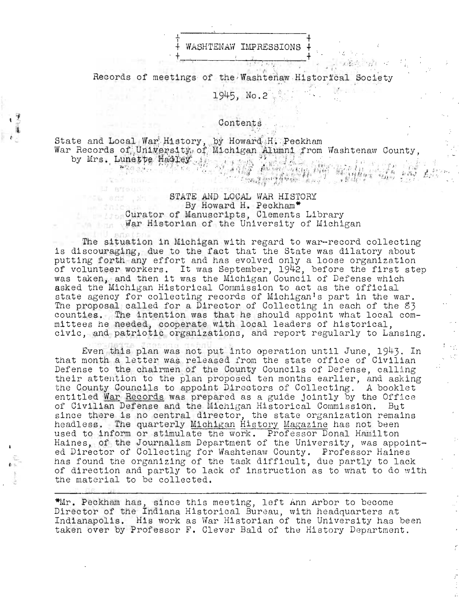

Records of meetings of the Washtenaw Historfeal Society

1945, No.2

### Contents

State and Local War History, by Howard H. Peckham War Records of University of Michigan Alumni from Washtenaw County,<br>by Mrs. Lunette Hadley ...

#### STATE AND LOCAL WAR HISTORY By Howard H. Peckham\* Curator of Manuscripts, Clements Library War Historian of the University of Michigan

The situation in Michigan with regard to war-record collecting is discouraging, due to the fact that the State was dilatory about putting forth any effort and has evolved only a loose organization of volunteer workers. It was September, 1942, before the first step was taken, and then it was the Michigan Council of Defense which asked the Michigan Historical Commission to act as the official state agency for collecting records of Michigan's part in the war. The proposal called for a Director of Collecting in each of the 83 counties. The intention was that he should appoint what local committees he needed, cooperate with local leaders of historical, civic, and patriotic organizations, and report regularly to Lansing.

Even this plan was not put into operation until June, 1943. In that month a letter was released from the state office of Civilian Defense to the chairmen of the County Councils of Defense, calling<br>their attention to the plan proposed ten months earlier, and asking the County Councils to appoint Directors of Collecting. A booklet entitled War Records was prepared as a guide jointly by the Office of Civilian Defense and the Michigan Historical Commission. But since there is no central director, the state organization remains headless. The quarterly Michigan History Magazine has not been used to inform or stimulate the work. Professor Donal Hamilton Haines, of the Journalism Department of the University, was appointed Director of Collecting for Washtenaw County. Professor Haines has found the organizing of the task difficult, due partly to lack of direction and partly to lack of instruction as to what to do with the material to be collected.

\*Mr. Peckham has, since this meeting, left Ann Arbor to become Director of the Indiana Historical Bureau, with headquarters at Indianapolis. His work as War Historian of the University has been taken over by Professor F. Clever Bald of the History Department.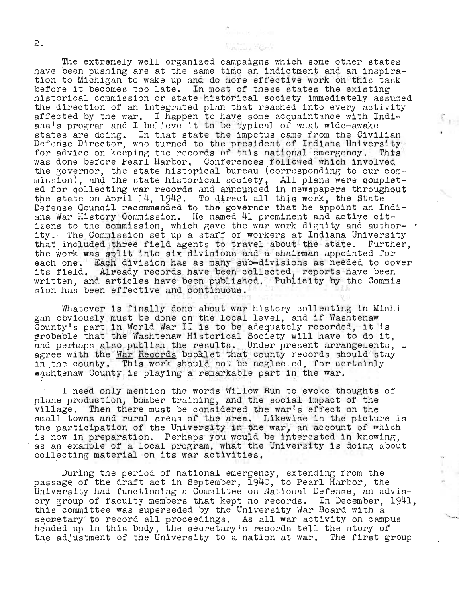The extremely well organized campaigns which some other states have been pushing are at the same time an indictment and an inspiration to Michigan to wake up and do more effective work on this task before it becomes too late. In most of these states the existing historical commission or state historical society immediately assumed the direction of an integrated plan that reached into every activity affected by the war. I happen to have some acquaintance with Indiana's program and I believe it to be typical of what wide-awake states are doing. In that state the impetus came from the Civilian Defense Director, who turned to the president of Indiana University for advice on keeping the records of this national emergency. This was done before Pearl Harbor, Conferences followed which involveq the governor, the state histopical bureau (corresponding to our commission), and the state historical society, All plans were completed for gollecting war records and announced in newspapers throughout the state on April 14, 1942. To direct all this work, the State the state on April 14, 1942. To direct all this work, the State Defense Council recommended to the governor that he appoint an Indiana War History Commission. He named 41 prominent and actiye oitizens to the commission, which gave the war work dignity and author- *<sup>r</sup>* ity. The Commission set up a staff of workers at Indiana University that included three field agents to travel about the state. Further, the work was split into six divisions and a chairman appointed for each one. Each division has as many sub-divisions as needed to cover each one. Each division has as many sub-divisions as heacd to cover the end of the state of the field. written, and articles have been published. Publicity by the Commission has been effective and continuous.

The Heat

Whatever is finally done about war history collecting in Michimiatever is finally done about war history collecting in mi-<br>gan obviously must be done on the local level, and if Washtenaw gan obviously must be done on the local level, and if washtenaw<br>County's part in World War II is to be adequately recorded, it is probable that the Washtenaw Historical Society will have to do it, and perhaps also publish the results. Under present arrangements, I agree with the  $Nar$  Records booklet that county records should stay in the county. This work should not be neglected, for certainly Washtenaw County is playing a remarkable part in the war.

I need only mention the words Willow Run to evoke thoughts of plane production, bomber training, and the social impact of the village. Then there must be considered the war's effect on the small towns and rural areas of the area. Likewise in the picture is the participation of the University in the war, an account of which is now in preparation. Perhaps you would be interested in knowing, as an example of a local program, what the University is doing about collecting material on its war activities.

During the period of national emergency, extending from the passage of the draft act in September, 1940, to Pearl Harbor, the University had functioning a Committee on National Defense, an advisory group of faculty members that kept no records. In December, 1941, this committee was superseded by the University War Board with a secretary to record all proceedings. As all war activity on campus secretary to record all proceedings. As all war activity on campus headed up in this body, the secretary's records tell the story of the adjustment of the University to a nation at war. The first group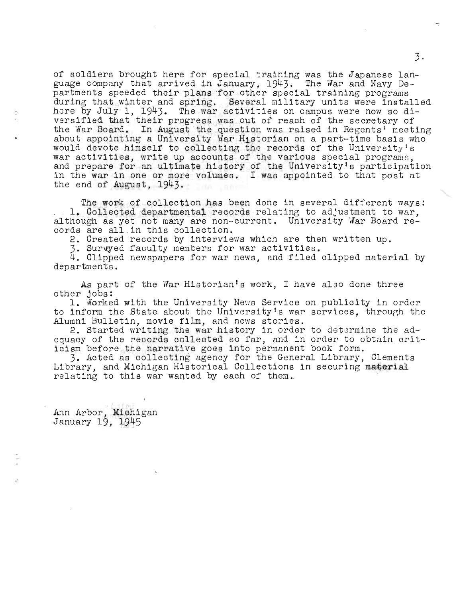of soldiers brought here for special training was the Japanese language company that arrived in January, 1943. The War and Navy Departments speeded their plans 'for other special training programs during that winter and spring. Several military units were installed here by July 1, 1943. The war activities on campus were now so diversified that their progress was out of reach of the secretary of the Nar Board. In August the question was raised in Regents' meeting about appointing a University War Historian on a part-time basis who would devote himself to collecting the records of the University's war activities, write up accounts of the various special programs, would develo Himself to correcting the records of the officers, share activities, write up accounts of the various special programs, and prepare for an ultimate history of the University's participation in the war in one or more volumes. I was appointed to that post at the end of August, 1943.

The work of collection has been done in several different ways: 1. Collected departmental records relating to adjustment to war, although as yet not many are non-current. University War Board records are all .in this collection.

2. Created records by interviews which are then written up.<br>3. Surwyed faculty members for war activities.

4. Clipped newspapers for war news, and filed clipped material by departments.

As part of the War Historian's work, I have also done three

other jobs:<br>1. Worked with the University News Service on publicity in order to inform the State about the University's war services, through the Alumni Bulletin, movie film, and news stories.

2. Started writing the war history in order to determine the adequacy of the records collected so far, and in order to obtain criticism before the narrative goes into permanent book form.

3. Acted as collecting agency for the General Library, Clements Library, and Michigan Historical Collections in securing material relating to this war wanted by each of them.

Ann Arbor, Michigan January 19, 1945

"

3·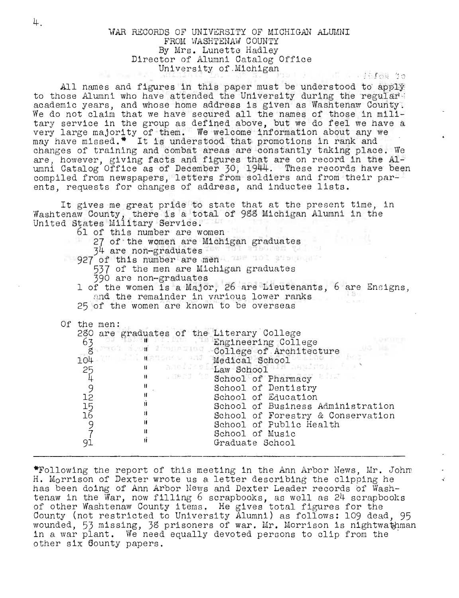#### WAR RECORDS OF UNIVERSITY OF MICHIGAN ALUMNI FROM WASHTENAW COUNTY By Mrs. Lunette Hadley Director of Alumni Catalog Office University of Michigan

All names and figures in this paper must be understood to apply to those Alumni who have attended the University during the regular. academic years, and whose home address is given as Washtenaw County. We do not claim that we have secured all the names of those in military service in the group as defined above, but we do feel we have a very large majority of them. We welcome information about any we wery large majority of them. We welcome information about any we may have missed.\* It is understood that promotions in rank and changes of training and comba are, however, giving facts and figures that are on record in the Alumni Catalog Office as of December 30, 1944. These records have been compiled from newspapers, letters from soldiers and from their parents, requests for changes of address, and inductee lists.

It gives me great pride to state that at the present time, in Washtenaw County, there is a total of 988 Michigan Alumni in the United States Military Service.

| $0.001$ Decood millions, DOI $0.000$ .<br>61 of this number are women<br>390 are non-graduates | 27 of the women are Michigan graduates<br>34 are non-graduates with the man of the state of<br>927 of this number are mena, mas not assessed<br>537 of the men are Michigan graduates<br>1 of the women is a Major, 26 are Lieutenants, 6 are Ensigns,<br>and the remainder in various lower ranks<br>25 of the women are known to be overseas                                                                                                                                                                                |
|------------------------------------------------------------------------------------------------|-------------------------------------------------------------------------------------------------------------------------------------------------------------------------------------------------------------------------------------------------------------------------------------------------------------------------------------------------------------------------------------------------------------------------------------------------------------------------------------------------------------------------------|
| Of the men:<br>63<br>104<br>2549256971<br>$\mathbf{H}$<br>81<br>Ħ<br>Ħ                         | 280 are graduates of the Literary College<br>b are graduates of the Engineering College<br>3 and 10 and 10 and 10 and 10 and 10 and 10 and 10 and 10 and 10 and 10 and 10 and 10 and 10 and 10 and 10 and 10 and 10 and 10 and 10 and 10 and 10 and 10 and 10 and 10 and 10 an<br>Wedical School<br>" and is Law School by Following<br>School of Dentistry<br>School of Education<br>School of Business Administration<br>School of Forestry & Conservation<br>School of Public Health<br>School of Music<br>Graduate School |

\*Fo110wing the report of this meeting in the Ann Arbor News, Mr. Johm H. Morrison of Dexter wrote us a letter describing the clipping he has been doing of Ann Arbor News and Dexter Leader records of Washtenaw in the War, now filling 6 scrapbooks, as well as 24 scrapbooks of other Washtenaw County items. He gives total figures for the County (not restricted to University Alumni) as follows: 109 dead, 95 wounded, 53 missing, 38 prisoners of war. Mr. Morrison is nightwathman in a war plant. We need equally devoted persons to clip from the other six 60unty papers.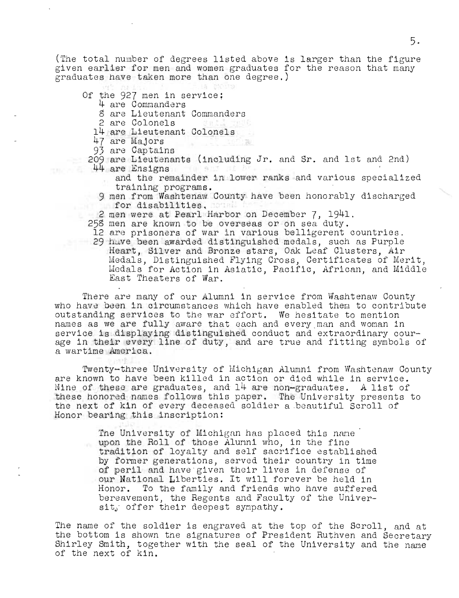(The total number of degrees listed above is larger than the figure given earlier for men and women graduates for the reason that many graduates have taken more than one degree.)

- Of the 927 men in service;
	- 4 are Commanders
		- 8 are Lieutenant Commanders
		- 2 are Colonels
	- 14 arG Lieutenant Colonels
	- 47 are Majors
	- 93 are Captains
	- 209 are Lieutenants (including Jr. and Sr. and 1st and 2nd)
- 44 are Ensigns
	- and the remainder in lower ranks and various specialized training programs.
	- 9 men from Washtenaw County have been honorably discharged for disabilities.
	- 2 men were at Pearl Harbor on December 7, 1941.
	- 258 men are known to be overseas or on sea duty.
	- 12 are prisoners of war in various belligerent countries. 29 have been awarded distinguished medals, such as Purple Heart, Silver and Bronze stars, Oak Leaf Clusters, Air Medals, Distinguished Flying Cross, Certificates of Merit, Medals for Action in Asiatic, Pacific, African, and Middle East Theaters of War.

There are many of our Alumni in service from Washtenaw County who have been in circumstances which have enabled them to contribute outstanding services to the war effort. We hesitate to mention names as we are fully aware that each and every man and woman in service is displaying distinguished conduct and extraordinary courage in their every line of duty, and are true and fitting symbols of a wartime America.

Twenty-three University of Michigan Alumni from Washtenaw County are known to have been killed in action or died while in service. Nine of these are graduates, and 14 are non-graduates. A list of these honored names follows this paper. The University presents to the next of kin of every deceased soldier a beautiful Scroll of Honor bearing this inscription:

The University of Michigan has placed this name upon the Roll of those Alumni who, in the fine tradition of loyalty and self sacrifice established by former generations, served their country in time of peril and have given their lives in defense of our National Liberties. It will forever be held in Honor. To the family and friends who have suffered bereavement, the Regents and Faculty of the Universit, offer their deepest sympathy.

The name of the soldier is engraved at the top of the Scroll, and at the bottom is shown the signatures of President Ruthven and Secretary Shirley Smith, together with the seal of the University and the name of the next of kin.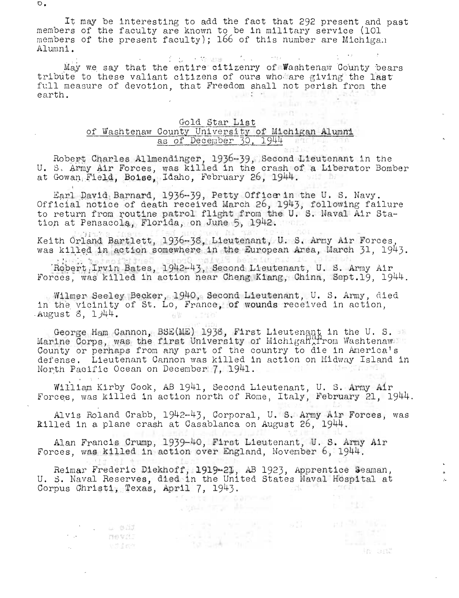It may be interesting to add the fact that 292 present and past members of the faculty are known to be in military service (101 members of the present faculty); 166 of this number are Michigan Alumni.

May we say that the entire citizenry of Washtenaw County bears tribute to these valiant citizens of ours who are giving the last full measure of devotion, that Freedom shall not perish from the **County of the Illi** earth.

## Gold Star List

 $1 - 12$ 

四国)

# of Washtenaw County University of Michigan Alumni<br>as of December 30, 1944

Robert Charles Allmendinger, 1936-39, Second Lieutenant in the U. S. Army Air Forces, was killed in the crash of a Liberator Bomber at Gowan Field, Boise, Idaho, February 26, 1944.

Earl David Barnard, 1936-39, Petty Office in the U. S. Navy. Official notice of death received March 26, 1943, following failure to return from routine patrol flight from the U.S. Naval Air Station at Pensacola, Florida, on June 5, 1942.

Keith Orland Bartlett, 1936-38, Lieutenant, U. S. Army Air Forces, was killed in action somewhere in the European Area, March 31, 1943.

Robert, Irvin Bates, 1942-43, Second Lieutenant, U. S. Army Air Forces, was killed in action near Cheng Kiang, China. Sept.19. 1944.

Wilmer Seeley Becker, 1940, Second Lieutenant, U. S. Army, died in the vicinity of St. Lo, France, of wounds received in action, August  $8.144.$ 68 .730

George Ham Cannon, BSE(ME) 1938, First Lieutenant in the U. S. and Marine Corps, was the first University of Michigan from Washtenaw County or perhaps from any part of the country to die in America's defense. Lieutenant Cannon was killed in action on Midway Island in North Pacific Ocean on December 7, 1941.

William Kirby Cook, AB 1941, Second Lieutenant, U. S. Army Air<br>Forces, was killed in action north of Rome, Italy, February 21, 1944.

Alvis Roland Crabb, 1942-43, Corporal, U. S. Army Air Forces, was killed in a plane crash at Casablanca on August 26, 1944.

Alan Francis Crump, 1939-40, First Lieutenant, U. S. Army Air Forces, was killed in action over England, November 6, 1944.

Reimar Frederic Diekhoff, 1919-21, AB 1923, Apprentice Seaman, U. S. Naval Reserves, died in the United States Naval Hospital at  $\label{eq:R1} \mathcal{A}_N^{\text{eff}} = \mathcal{A}^{\text{eff}} = \mathcal{A} \mathcal{O} \mathcal{I} \mathcal{U} \, .$ Corpus Christi, Texas, April 7, 1943. r format a la la pagnetikan<br>Sengan a mangan a la mondo

**LA BILJ** 

 $\mathcal{F} = \{ \mathcal{F} \}$  .  $\mathcal{A}_{\mathbf{z}}$  ,  $\mathcal{A}_{\mathbf{z}}$  ,

In ast

 $\circ$  .